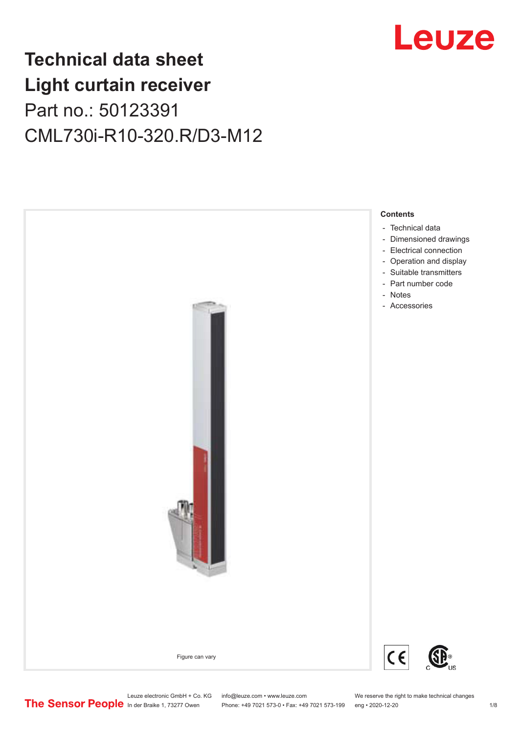## Leuze

## **Technical data sheet Light curtain receiver** Part no.: 50123391 CML730i-R10-320.R/D3-M12

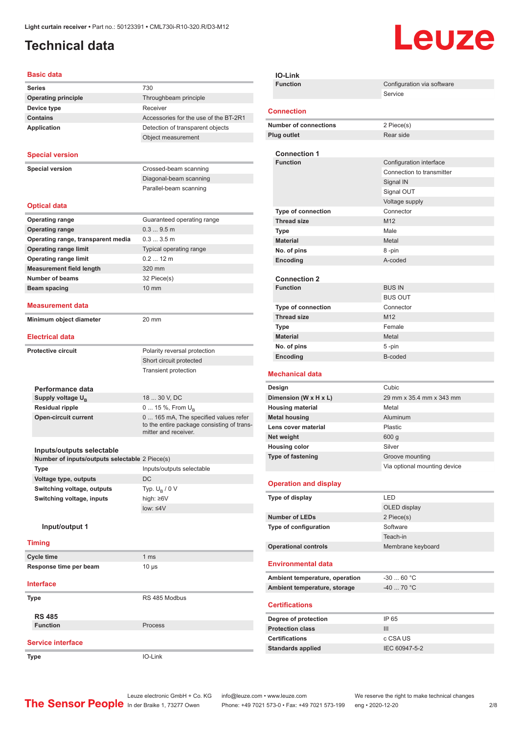### <span id="page-1-0"></span>**Technical data**

# Leuze

#### **Basic data**

| <b>Basic data</b>  |                                                                             |                                            |
|--------------------|-----------------------------------------------------------------------------|--------------------------------------------|
| <b>Series</b>      |                                                                             | 730                                        |
|                    | <b>Operating principle</b>                                                  | Throughbeam principle                      |
| Device type        |                                                                             | Receiver                                   |
| <b>Contains</b>    |                                                                             | Accessories for the use of the BT-2R1      |
| <b>Application</b> |                                                                             | Detection of transparent objects           |
|                    |                                                                             | Object measurement                         |
|                    |                                                                             |                                            |
|                    | <b>Special version</b>                                                      |                                            |
|                    | <b>Special version</b>                                                      | Crossed-beam scanning                      |
|                    |                                                                             | Diagonal-beam scanning                     |
|                    |                                                                             | Parallel-beam scanning                     |
|                    | <b>Optical data</b>                                                         |                                            |
|                    | <b>Operating range</b>                                                      | Guaranteed operating range                 |
|                    | <b>Operating range</b>                                                      | 0.39.5m                                    |
|                    | Operating range, transparent media                                          | 0.33.5m                                    |
|                    | <b>Operating range limit</b>                                                | Typical operating range                    |
|                    | <b>Operating range limit</b>                                                | $0.212$ m                                  |
|                    | <b>Measurement field length</b>                                             | 320 mm                                     |
|                    | <b>Number of beams</b>                                                      | 32 Piece(s)                                |
|                    | Beam spacing                                                                | 10 mm                                      |
|                    |                                                                             |                                            |
|                    | <b>Measurement data</b>                                                     |                                            |
|                    | Minimum object diameter                                                     | 20 mm                                      |
|                    | <b>Electrical data</b>                                                      |                                            |
|                    |                                                                             |                                            |
|                    | <b>Protective circuit</b>                                                   | Polarity reversal protection               |
|                    |                                                                             | Short circuit protected                    |
|                    |                                                                             | <b>Transient protection</b>                |
|                    | Performance data                                                            |                                            |
|                    | Supply voltage $U_{B}$                                                      | 18  30 V, DC                               |
|                    | <b>Residual ripple</b>                                                      | 0  15 %, From $U_{\rm B}$                  |
|                    | <b>Open-circuit current</b>                                                 | 0 165 mA, The specified values refer       |
|                    |                                                                             | to the entire package consisting of trans- |
|                    |                                                                             | mitter and receiver.                       |
|                    |                                                                             |                                            |
|                    | Inputs/outputs selectable<br>Number of inputs/outputs selectable 2 Piece(s) |                                            |
| Type               |                                                                             | Inputs/outputs selectable                  |
|                    | Voltage type, outputs                                                       | DC                                         |
|                    | Switching voltage, outputs                                                  | Typ. $U_{\rm B}$ / 0 V                     |
|                    | Switching voltage, inputs                                                   | high: ≥6V                                  |
|                    |                                                                             | low: < 4V                                  |
|                    |                                                                             |                                            |
|                    | Input/output 1                                                              |                                            |
| <b>Timing</b>      |                                                                             |                                            |
| <b>Cycle time</b>  |                                                                             | 1 <sub>ms</sub>                            |
|                    | Response time per beam                                                      | $10 \mu s$                                 |
|                    |                                                                             |                                            |
| <b>Interface</b>   |                                                                             |                                            |
| Type               |                                                                             | RS 485 Modbus                              |
|                    |                                                                             |                                            |
| <b>RS 485</b>      | <b>Function</b>                                                             | Process                                    |
|                    |                                                                             |                                            |
|                    | <b>Service interface</b>                                                    |                                            |
| Type               |                                                                             | IO-Link                                    |
|                    |                                                                             |                                            |

| <b>IO-Link</b>                            |                              |
|-------------------------------------------|------------------------------|
| <b>Function</b>                           | Configuration via software   |
|                                           | Service                      |
| <b>Connection</b>                         |                              |
| <b>Number of connections</b>              | 2 Piece(s)                   |
| <b>Plug outlet</b>                        | Rear side                    |
|                                           |                              |
| <b>Connection 1</b><br><b>Function</b>    | Configuration interface      |
|                                           | Connection to transmitter    |
|                                           | Signal IN                    |
|                                           | Signal OUT                   |
|                                           | Voltage supply               |
| <b>Type of connection</b>                 | Connector                    |
| <b>Thread size</b>                        | M12                          |
| Type                                      | Male                         |
| <b>Material</b>                           | Metal                        |
| No. of pins                               | 8 -pin                       |
| Encoding                                  | A-coded                      |
|                                           |                              |
| <b>Connection 2</b>                       |                              |
| <b>Function</b>                           | <b>BUS IN</b>                |
|                                           | <b>BUS OUT</b>               |
| <b>Type of connection</b>                 | Connector                    |
| <b>Thread size</b>                        | M12                          |
| Type                                      | Female<br>Metal              |
| <b>Material</b><br>No. of pins            |                              |
| Encoding                                  | $5 - pin$<br>B-coded         |
|                                           |                              |
| <b>Mechanical data</b>                    |                              |
| Design                                    | Cubic                        |
| Dimension (W x H x L)                     | 29 mm x 35.4 mm x 343 mm     |
| <b>Housing material</b>                   | Metal                        |
| <b>Metal housing</b>                      | Aluminum                     |
| Lens cover material                       | Plastic                      |
| Net weight                                | 600 <sub>g</sub><br>Silver   |
| <b>Housing color</b><br>Type of fastening | Groove mounting              |
|                                           | Via optional mounting device |
|                                           |                              |
| <b>Operation and display</b>              |                              |
| Type of display                           | LED                          |
|                                           | OLED display                 |
| <b>Number of LEDs</b>                     | 2 Piece(s)                   |
| Type of configuration                     | Software                     |
|                                           | Teach-in                     |
| <b>Operational controls</b>               | Membrane keyboard            |
| <b>Environmental data</b>                 |                              |
| Ambient temperature, operation            | $-3060 °C$                   |
| Ambient temperature, storage              | $-40$ 70 °C                  |
| <b>Certifications</b>                     |                              |

| Degree of protection     | IP 65         |
|--------------------------|---------------|
| <b>Protection class</b>  | Ш             |
| <b>Certifications</b>    | c CSA US      |
| <b>Standards applied</b> | IEC 60947-5-2 |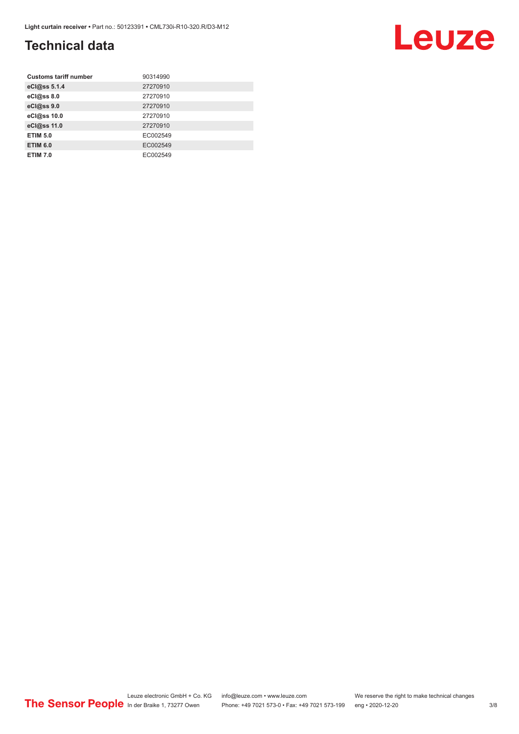### **Technical data**

| <b>Customs tariff number</b> | 90314990 |
|------------------------------|----------|
| eCl@ss 5.1.4                 | 27270910 |
| eCl@ss 8.0                   | 27270910 |
| eCl@ss 9.0                   | 27270910 |
| eCl@ss 10.0                  | 27270910 |
| eCl@ss 11.0                  | 27270910 |
| <b>ETIM 5.0</b>              | EC002549 |
| <b>ETIM 6.0</b>              | EC002549 |
| <b>ETIM 7.0</b>              | EC002549 |

#### Leuze electronic GmbH + Co. KG info@leuze.com • www.leuze.com We reserve the right to make technical changes ln der Braike 1, 73277 Owen Phone: +49 7021 573-0 • Fax: +49 7021 573-199 eng • 2020-12-20 3/8

Leuze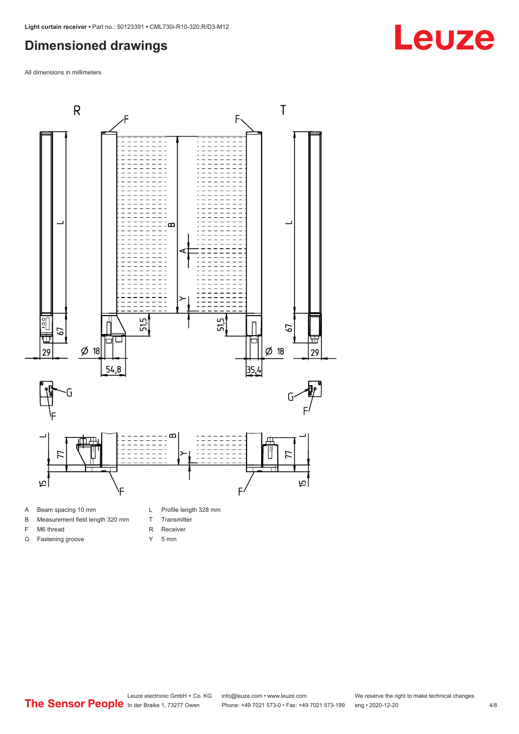#### <span id="page-3-0"></span>**Dimensioned drawings**

All dimensions in millimeters



- B Measurement field length 320 mm
- 
- F M6 thread
- G Fastening groove
- T Transmitter
- R Receiver
- 
- Y 5 mm

**Leuze**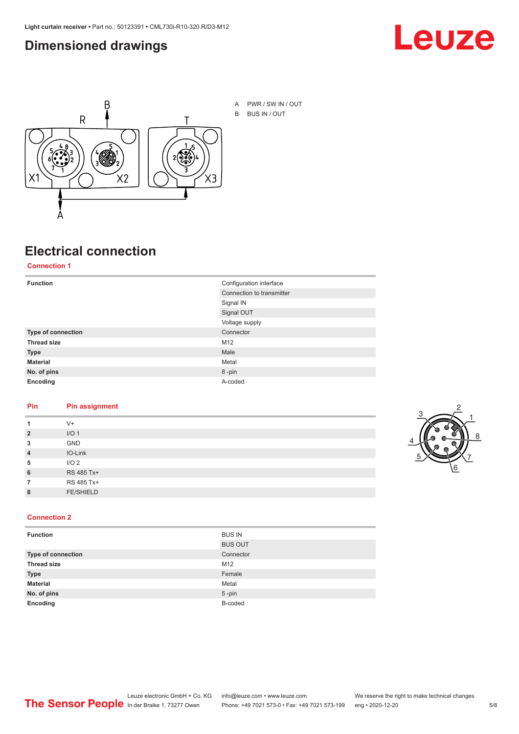#### <span id="page-4-0"></span>**Dimensioned drawings**





A PWR / SW IN / OUT B BUS IN / OUT

### **Electrical connection**

**Connection 1**

| <b>Function</b>    | Configuration interface   |
|--------------------|---------------------------|
|                    | Connection to transmitter |
|                    | Signal IN                 |
|                    | Signal OUT                |
|                    | Voltage supply            |
| Type of connection | Connector                 |
| <b>Thread size</b> | M12                       |
| <b>Type</b>        | Male                      |
| <b>Material</b>    | Metal                     |
| No. of pins        | 8-pin                     |
| Encoding           | A-coded                   |

#### **Pin Pin assignment**

|                | $V +$            |  |  |
|----------------|------------------|--|--|
| $\overline{2}$ | I/O <sub>1</sub> |  |  |
| 3              | <b>GND</b>       |  |  |
| $\overline{4}$ | IO-Link          |  |  |
| 5              | I/O <sub>2</sub> |  |  |
| 6              | RS 485 Tx+       |  |  |
|                | RS 485 Tx+       |  |  |
| 8              | <b>FE/SHIELD</b> |  |  |
|                |                  |  |  |



#### **Connection 2**

| <b>Function</b>    | <b>BUS IN</b>  |
|--------------------|----------------|
|                    | <b>BUS OUT</b> |
| Type of connection | Connector      |
| <b>Thread size</b> | M12            |
| <b>Type</b>        | Female         |
| <b>Material</b>    | Metal          |
| No. of pins        | $5 - pin$      |
| Encoding           | B-coded        |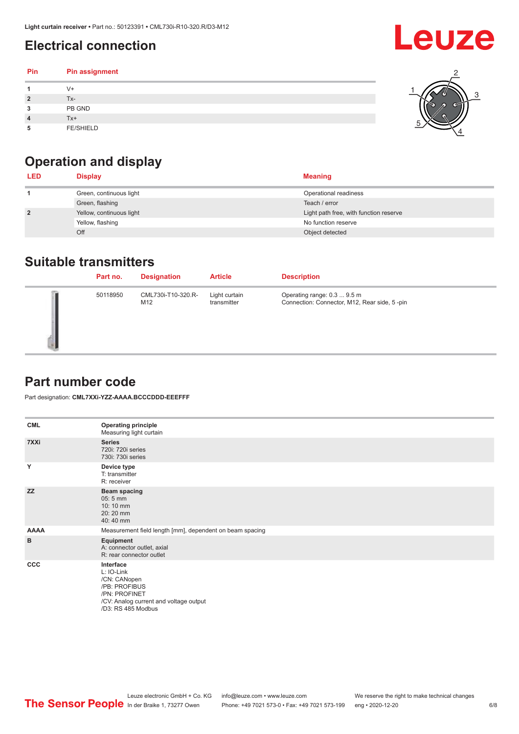### <span id="page-5-0"></span>**Electrical connection**

#### **Pin Pin assignment 1** V+ **2** Tx-**3** PB GND **4** Tx+ **5** FE/SHIELD 3 2 1 5 4

### **Operation and display**

| <b>LED</b>     | <b>Display</b>           | <b>Meaning</b>                         |
|----------------|--------------------------|----------------------------------------|
|                | Green, continuous light  | Operational readiness                  |
|                | Green, flashing          | Teach / error                          |
| $\overline{2}$ | Yellow, continuous light | Light path free, with function reserve |
|                | Yellow, flashing         | No function reserve                    |
|                | Off                      | Object detected                        |

#### **Suitable transmitters**

| Part no. | <b>Designation</b>        | <b>Article</b>               | <b>Description</b>                                                          |
|----------|---------------------------|------------------------------|-----------------------------------------------------------------------------|
| 50118950 | CML730i-T10-320.R-<br>M12 | Light curtain<br>transmitter | Operating range: 0.3  9.5 m<br>Connection: Connector, M12, Rear side, 5-pin |

#### **Part number code**

Part designation: **CML7XXi-YZZ-AAAA.BCCCDDD-EEEFFF**

| <b>CML</b>  | <b>Operating principle</b><br>Measuring light curtain                                                                                     |
|-------------|-------------------------------------------------------------------------------------------------------------------------------------------|
| 7XXi        | <b>Series</b><br>720i: 720i series<br>730i: 730i series                                                                                   |
| Y           | Device type<br>T: transmitter<br>R: receiver                                                                                              |
| <b>ZZ</b>   | <b>Beam spacing</b><br>$05:5$ mm<br>10:10 mm<br>20:20 mm<br>40:40 mm                                                                      |
| <b>AAAA</b> | Measurement field length [mm], dependent on beam spacing                                                                                  |
| B           | Equipment<br>A: connector outlet, axial<br>R: rear connector outlet                                                                       |
| <b>CCC</b>  | Interface<br>L: IO-Link<br>/CN: CANopen<br>/PB: PROFIBUS<br>/PN: PROFINET<br>/CV: Analog current and voltage output<br>/D3: RS 485 Modbus |

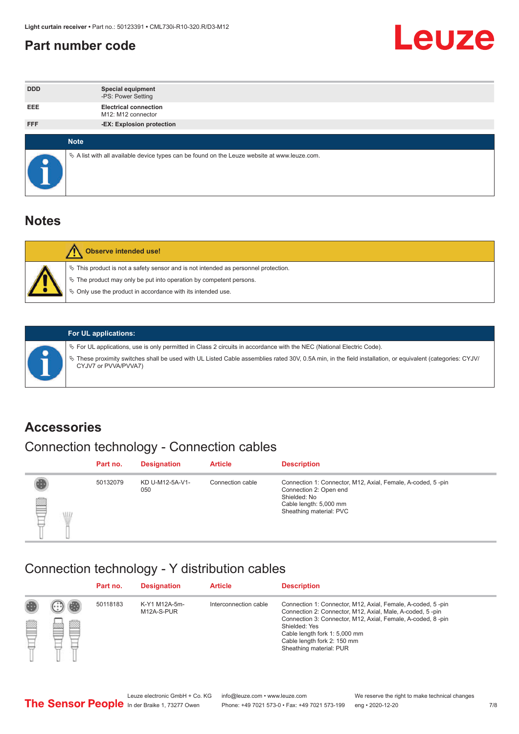#### <span id="page-6-0"></span>**Part number code**



| <b>DDD</b> | <b>Special equipment</b><br>-PS: Power Setting                                                    |
|------------|---------------------------------------------------------------------------------------------------|
| <b>EEE</b> | <b>Electrical connection</b><br>M12: M12 connector                                                |
| <b>FFF</b> | -EX: Explosion protection                                                                         |
|            |                                                                                                   |
|            | <b>Note</b>                                                                                       |
| $\bullet$  | Vector A list with all available device types can be found on the Leuze website at www.leuze.com. |

#### **Notes**

| $\%$ The product may only be put into operation by competent persons.<br>₿ Only use the product in accordance with its intended use. | $\%$ This product is not a safety sensor and is not intended as personnel protection. |
|--------------------------------------------------------------------------------------------------------------------------------------|---------------------------------------------------------------------------------------|



#### **For UL applications:**

ª For UL applications, use is only permitted in Class 2 circuits in accordance with the NEC (National Electric Code). ª These proximity switches shall be used with UL Listed Cable assemblies rated 30V, 0.5A min, in the field installation, or equivalent (categories: CYJV/ CYJV7 or PVVA/PVVA7)

#### **Accessories**

### Connection technology - Connection cables

|        | Part no. | <b>Designation</b>     | <b>Article</b>   | <b>Description</b>                                                                                                                                         |
|--------|----------|------------------------|------------------|------------------------------------------------------------------------------------------------------------------------------------------------------------|
| 2<br>W | 50132079 | KD U-M12-5A-V1-<br>050 | Connection cable | Connection 1: Connector, M12, Axial, Female, A-coded, 5-pin<br>Connection 2: Open end<br>Shielded: No<br>Cable length: 5,000 mm<br>Sheathing material: PVC |

#### Connection technology - Y distribution cables

|        |   | Part no. | <b>Designation</b>          | <b>Article</b>        | <b>Description</b>                                                                                                                                                                                                                                                                                  |
|--------|---|----------|-----------------------------|-----------------------|-----------------------------------------------------------------------------------------------------------------------------------------------------------------------------------------------------------------------------------------------------------------------------------------------------|
| 圔<br>⋿ | Ø | 50118183 | K-Y1 M12A-5m-<br>M12A-S-PUR | Interconnection cable | Connection 1: Connector, M12, Axial, Female, A-coded, 5-pin<br>Connection 2: Connector, M12, Axial, Male, A-coded, 5-pin<br>Connection 3: Connector, M12, Axial, Female, A-coded, 8-pin<br>Shielded: Yes<br>Cable length fork 1: 5,000 mm<br>Cable length fork 2: 150 mm<br>Sheathing material: PUR |